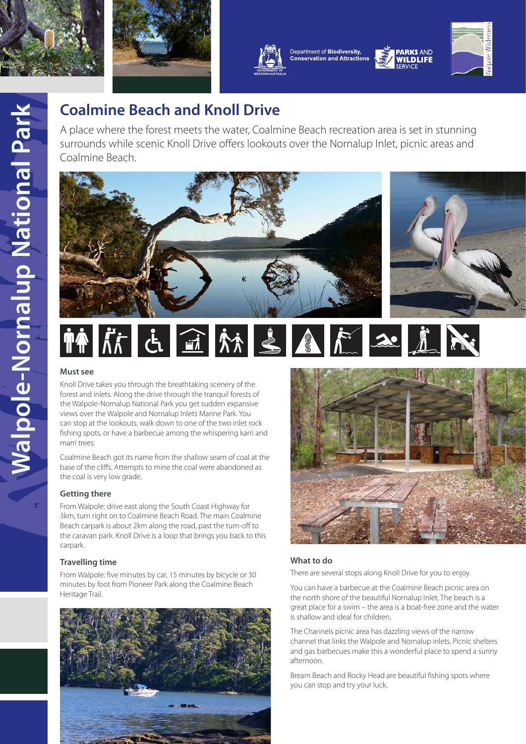





Department of Biodiversity, **Conservation and Attractions** 



**PARKS AND** 

**WILDLIFF** 

# **Coalmine Beach and Knoll Drive**

A place where the forest meets the water, Coalmine Beach recreation area is set in stunning surrounds while scenic Knoll Drive offers lookouts over the Nornalup Inlet, picnic areas and Coalmine Beach.





# NO CONTROL COMPANY

# **Must see**

Knoll Drive takes you through the breathtaking scenery of the forest and inlets. Along the drive through the tranquil forests of the Walpole-Nornalup National Park you get sudden expansive views over the Walpole and Nornalup Inlets Marine Park. You can stop at the lookouts, walk down to one of the two inlet rock fishing spots, or have a barbecue among the whispering karri and marri trees.

Coalmine Beach got its name from the shallow seam of coal at the base of the cliffs. Attempts to mine the coal were abandoned as the coal is very low grade.

# **Getting there**

From Walpole: drive east along the South Coast Highway for 3km, turn right on to Coalmine Beach Road. The main Coalmine Beach carpark is about 2km along the road, past the turn-off to the caravan park. Knoll Drive is a loop that brings you back to this carpark.

# **Travelling time**

From Walpole: five minutes by car, 15 minutes by bicycle or 30 minutes by foot from Pioneer Park along the Coalmine Beach Heritage Trail.





# **What to do**

There are several stops along Knoll Drive for you to enjoy.

You can have a barbecue at the Coalmine Beach picnic area on the north shore of the beautiful Nornalup Inlet. The beach is a great place for a swim – the area is a boat-free zone and the water is shallow and ideal for children.

The Channels picnic area has dazzling views of the narrow channel that links the Walpole and Nornalup inlets. Picnic shelters and gas barbecues make this a wonderful place to spend a sunny afternoon.

Bream Beach and Rocky Head are beautiful fishing spots where you can stop and try your luck.